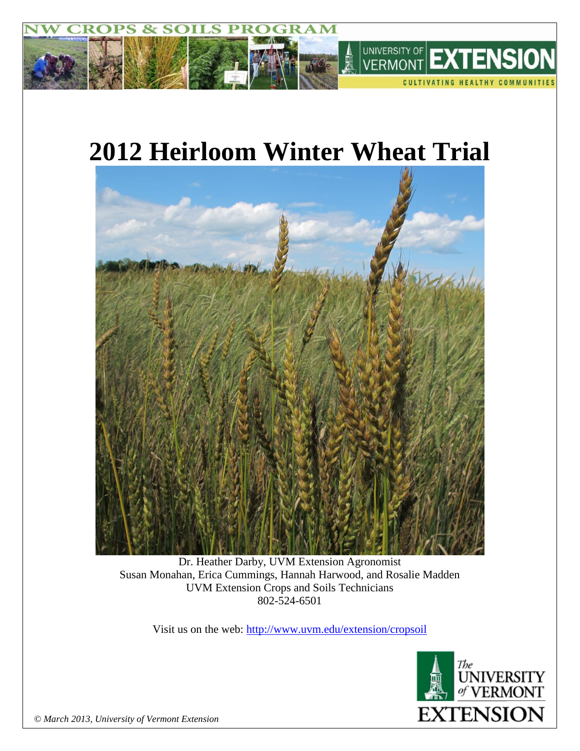

# **2012 Heirloom Winter Wheat Trial**



Dr. Heather Darby, UVM Extension Agronomist Susan Monahan, Erica Cummings, Hannah Harwood, and Rosalie Madden UVM Extension Crops and Soils Technicians 802-524-6501

Visit us on the web: <http://www.uvm.edu/extension/cropsoil>



*© March 2013, University of Vermont Extension*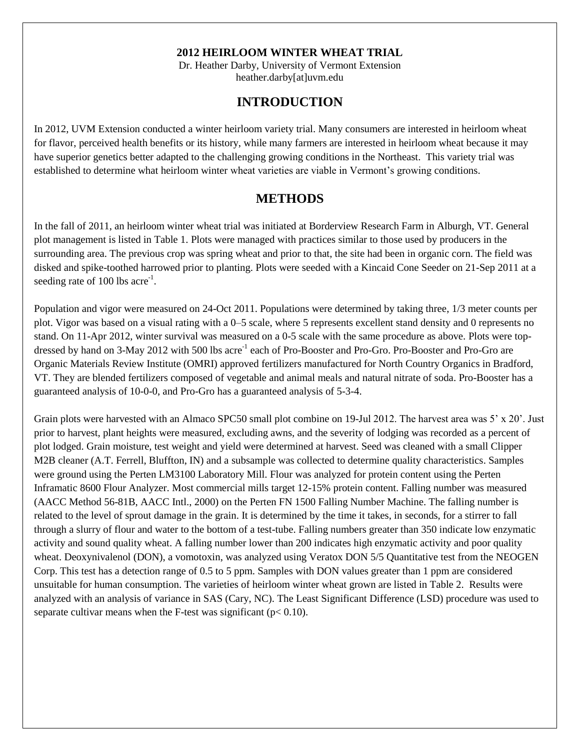#### **2012 HEIRLOOM WINTER WHEAT TRIAL**

Dr. Heather Darby, University of Vermont Extension heather.darby[at]uvm.edu

## **INTRODUCTION**

In 2012, UVM Extension conducted a winter heirloom variety trial. Many consumers are interested in heirloom wheat for flavor, perceived health benefits or its history, while many farmers are interested in heirloom wheat because it may have superior genetics better adapted to the challenging growing conditions in the Northeast. This variety trial was established to determine what heirloom winter wheat varieties are viable in Vermont's growing conditions.

### **METHODS**

In the fall of 2011, an heirloom winter wheat trial was initiated at Borderview Research Farm in Alburgh, VT. General plot management is listed in Table 1. Plots were managed with practices similar to those used by producers in the surrounding area. The previous crop was spring wheat and prior to that, the site had been in organic corn. The field was disked and spike-toothed harrowed prior to planting. Plots were seeded with a Kincaid Cone Seeder on 21-Sep 2011 at a seeding rate of  $100$  lbs acre<sup>-1</sup>.

Population and vigor were measured on 24-Oct 2011. Populations were determined by taking three, 1/3 meter counts per plot. Vigor was based on a visual rating with a 0–5 scale, where 5 represents excellent stand density and 0 represents no stand. On 11-Apr 2012, winter survival was measured on a 0-5 scale with the same procedure as above. Plots were topdressed by hand on 3-May 2012 with 500 lbs acre<sup>-1</sup> each of Pro-Booster and Pro-Gro. Pro-Booster and Pro-Gro are Organic Materials Review Institute (OMRI) approved fertilizers manufactured for North Country Organics in Bradford, VT. They are blended fertilizers composed of vegetable and animal meals and natural nitrate of soda. Pro-Booster has a guaranteed analysis of 10-0-0, and Pro-Gro has a guaranteed analysis of 5-3-4.

Grain plots were harvested with an Almaco SPC50 small plot combine on 19-Jul 2012. The harvest area was 5' x 20'. Just prior to harvest, plant heights were measured, excluding awns, and the severity of lodging was recorded as a percent of plot lodged. Grain moisture, test weight and yield were determined at harvest. Seed was cleaned with a small Clipper M2B cleaner (A.T. Ferrell, Bluffton, IN) and a subsample was collected to determine quality characteristics. Samples were ground using the Perten LM3100 Laboratory Mill. Flour was analyzed for protein content using the Perten Inframatic 8600 Flour Analyzer. Most commercial mills target 12-15% protein content. Falling number was measured (AACC Method 56-81B, AACC Intl., 2000) on the Perten FN 1500 Falling Number Machine. The falling number is related to the level of sprout damage in the grain. It is determined by the time it takes, in seconds, for a stirrer to fall through a slurry of flour and water to the bottom of a test-tube. Falling numbers greater than 350 indicate low enzymatic activity and sound quality wheat. A falling number lower than 200 indicates high enzymatic activity and poor quality wheat. Deoxynivalenol (DON), a vomotoxin, was analyzed using Veratox DON 5/5 Quantitative test from the NEOGEN Corp. This test has a detection range of 0.5 to 5 ppm. Samples with DON values greater than 1 ppm are considered unsuitable for human consumption. The varieties of heirloom winter wheat grown are listed in Table 2. Results were analyzed with an analysis of variance in SAS (Cary, NC). The Least Significant Difference (LSD) procedure was used to separate cultivar means when the F-test was significant ( $p < 0.10$ ).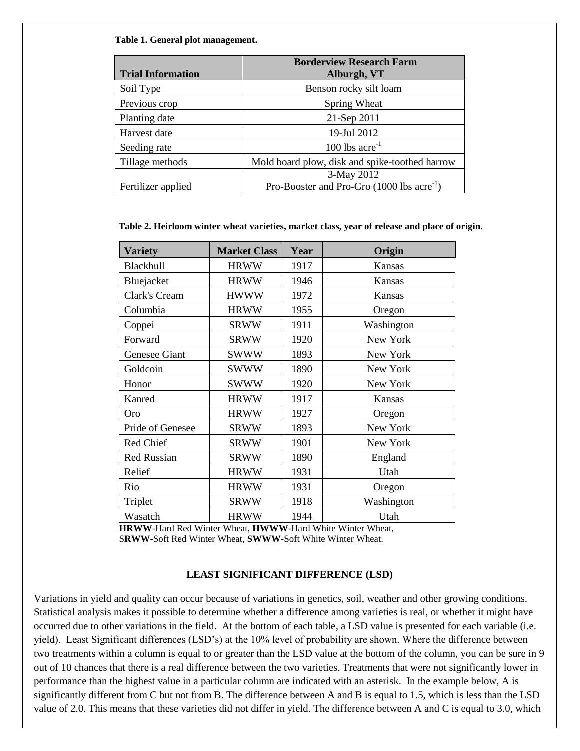**Table 1. General plot management.**

| <b>Trial Information</b> | <b>Borderview Research Farm</b><br>Alburgh, VT                 |
|--------------------------|----------------------------------------------------------------|
| Soil Type                | Benson rocky silt loam                                         |
| Previous crop            | Spring Wheat                                                   |
| Planting date            | 21-Sep 2011                                                    |
| Harvest date             | 19-Jul 2012                                                    |
| Seeding rate             | 100 lbs $\rm{acre}^{-1}$                                       |
| Tillage methods          | Mold board plow, disk and spike-toothed harrow                 |
|                          | 3-May 2012                                                     |
| Fertilizer applied       | Pro-Booster and Pro-Gro $(1000 \text{ lbs} \text{ acre}^{-1})$ |

 **Table 2. Heirloom winter wheat varieties, market class, year of release and place of origin.** 

| <b>Variety</b>     | <b>Market Class</b> | Year | Origin     |
|--------------------|---------------------|------|------------|
| Blackhull          | <b>HRWW</b>         | 1917 | Kansas     |
| Bluejacket         | <b>HRWW</b>         | 1946 | Kansas     |
| Clark's Cream      | <b>HWWW</b>         | 1972 | Kansas     |
| Columbia           | <b>HRWW</b>         | 1955 | Oregon     |
| Coppei             | <b>SRWW</b>         | 1911 | Washington |
| Forward            | <b>SRWW</b>         | 1920 | New York   |
| Genesee Giant      | <b>SWWW</b>         | 1893 | New York   |
| Goldcoin           | <b>SWWW</b>         | 1890 | New York   |
| Honor              | <b>SWWW</b>         | 1920 | New York   |
| Kanred             | <b>HRWW</b>         | 1917 | Kansas     |
| <b>Oro</b>         | <b>HRWW</b>         | 1927 | Oregon     |
| Pride of Genesee   | <b>SRWW</b>         | 1893 | New York   |
| Red Chief          | <b>SRWW</b>         | 1901 | New York   |
| <b>Red Russian</b> | <b>SRWW</b>         | 1890 | England    |
| Relief             | <b>HRWW</b>         | 1931 | Utah       |
| Rio                | <b>HRWW</b>         | 1931 | Oregon     |
| Triplet            | <b>SRWW</b>         | 1918 | Washington |
| Wasatch            | <b>HRWW</b>         | 1944 | Utah       |

**HRWW**-Hard Red Winter Wheat, **HWWW**-Hard White Winter Wheat, S**RWW**-Soft Red Winter Wheat, **SWWW-**Soft White Winter Wheat.

#### **LEAST SIGNIFICANT DIFFERENCE (LSD)**

Variations in yield and quality can occur because of variations in genetics, soil, weather and other growing conditions. Statistical analysis makes it possible to determine whether a difference among varieties is real, or whether it might have occurred due to other variations in the field. At the bottom of each table, a LSD value is presented for each variable (i.e. yield). Least Significant differences (LSD's) at the 10% level of probability are shown. Where the difference between two treatments within a column is equal to or greater than the LSD value at the bottom of the column, you can be sure in 9 out of 10 chances that there is a real difference between the two varieties. Treatments that were not significantly lower in performance than the highest value in a particular column are indicated with an asterisk. In the example below, A is significantly different from C but not from B. The difference between A and B is equal to 1.5, which is less than the LSD value of 2.0. This means that these varieties did not differ in yield. The difference between A and C is equal to 3.0, which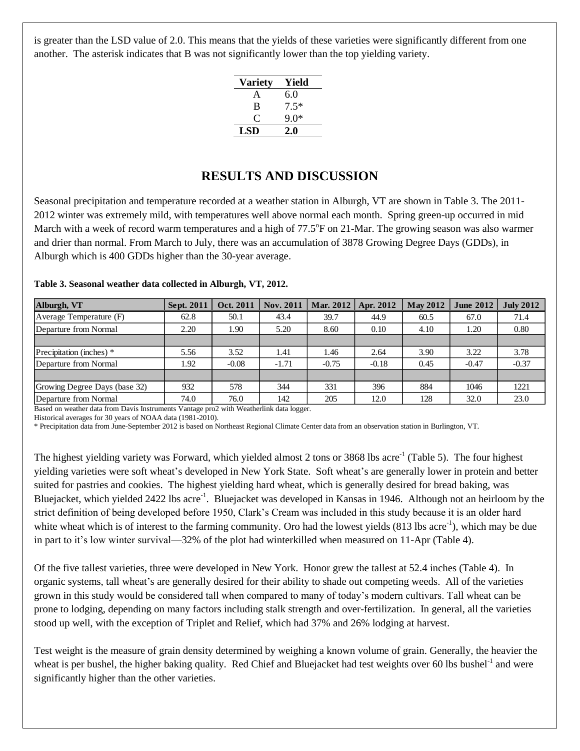is greater than the LSD value of 2.0. This means that the yields of these varieties were significantly different from one another. The asterisk indicates that B was not significantly lower than the top yielding variety.

| <b>Variety</b> | Yield  |
|----------------|--------|
| A              | 6.0    |
| B              | $7.5*$ |
| $\mathfrak{c}$ | 9.0*   |
| LSD            | 2.0    |

## **RESULTS AND DISCUSSION**

Seasonal precipitation and temperature recorded at a weather station in Alburgh, VT are shown in Table 3. The 2011- 2012 winter was extremely mild, with temperatures well above normal each month. Spring green-up occurred in mid March with a week of record warm temperatures and a high of 77.5°F on 21-Mar. The growing season was also warmer and drier than normal. From March to July, there was an accumulation of 3878 Growing Degree Days (GDDs), in Alburgh which is 400 GDDs higher than the 30-year average.

| Table 3. Seasonal weather data collected in Alburgh, VT, 2012. |  |  |  |  |
|----------------------------------------------------------------|--|--|--|--|
|----------------------------------------------------------------|--|--|--|--|

| Alburgh, VT                   | Sept. 2011 | Oct. 2011 | <b>Nov. 2011</b> | Mar. 2012   Apr. 2012 |         | <b>May 2012</b> | <b>June 2012</b> | <b>July 2012</b> |
|-------------------------------|------------|-----------|------------------|-----------------------|---------|-----------------|------------------|------------------|
| Average Temperature (F)       | 62.8       | 50.1      | 43.4             | 39.7                  | 44.9    | 60.5            | 67.0             | 71.4             |
| Departure from Normal         | 2.20       | 1.90      | 5.20             | 8.60                  | 0.10    | 4.10            | 1.20             | 0.80             |
|                               |            |           |                  |                       |         |                 |                  |                  |
| Precipitation (inches) *      | 5.56       | 3.52      | 1.41             | 1.46                  | 2.64    | 3.90            | 3.22             | 3.78             |
| Departure from Normal         | 1.92       | $-0.08$   | $-1.71$          | $-0.75$               | $-0.18$ | 0.45            | $-0.47$          | $-0.37$          |
|                               |            |           |                  |                       |         |                 |                  |                  |
| Growing Degree Days (base 32) | 932        | 578       | 344              | 331                   | 396     | 884             | 1046             | 1221             |
| Departure from Normal         | 74.0       | 76.0      | 142              | 205                   | 12.0    | 128             | 32.0             | 23.0             |

Based on weather data from Davis Instruments Vantage pro2 with Weatherlink data logger.

Historical averages for 30 years of NOAA data (1981-2010).

\* Precipitation data from June-September 2012 is based on Northeast Regional Climate Center data from an observation station in Burlington, VT.

The highest yielding variety was Forward, which yielded almost 2 tons or 3868 lbs acre<sup>-1</sup> (Table 5). The four highest yielding varieties were soft wheat's developed in New York State. Soft wheat's are generally lower in protein and better suited for pastries and cookies. The highest yielding hard wheat, which is generally desired for bread baking, was Bluejacket, which yielded 2422 lbs acre<sup>-1</sup>. Bluejacket was developed in Kansas in 1946. Although not an heirloom by the strict definition of being developed before 1950, Clark's Cream was included in this study because it is an older hard white wheat which is of interest to the farming community. Oro had the lowest yields  $(813 \text{ lbs acre}^{-1})$ , which may be due in part to it's low winter survival—32% of the plot had winterkilled when measured on 11-Apr (Table 4).

Of the five tallest varieties, three were developed in New York. Honor grew the tallest at 52.4 inches (Table 4). In organic systems, tall wheat's are generally desired for their ability to shade out competing weeds. All of the varieties grown in this study would be considered tall when compared to many of today's modern cultivars. Tall wheat can be prone to lodging, depending on many factors including stalk strength and over-fertilization. In general, all the varieties stood up well, with the exception of Triplet and Relief, which had 37% and 26% lodging at harvest.

Test weight is the measure of grain density determined by weighing a known volume of grain. Generally, the heavier the wheat is per bushel, the higher baking quality. Red Chief and Bluejacket had test weights over 60 lbs bushel $^{-1}$  and were significantly higher than the other varieties.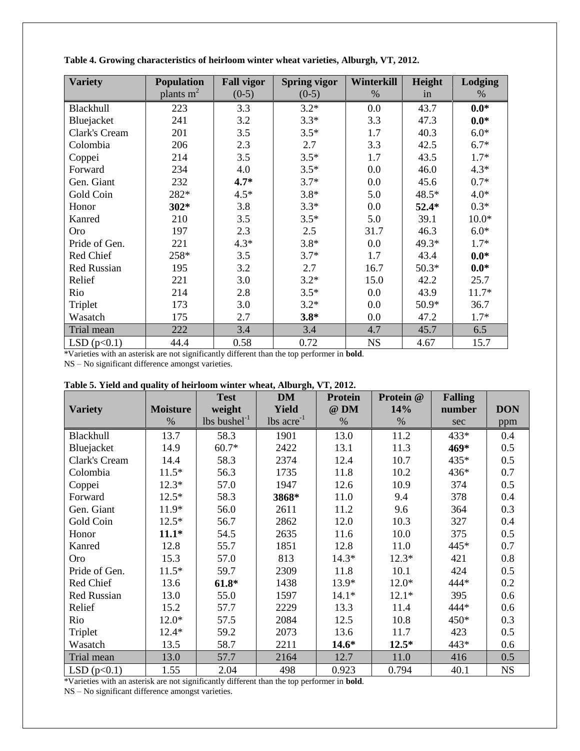| <b>Variety</b> | <b>Population</b> | <b>Fall vigor</b> | <b>Spring vigor</b> | Winterkill | Height  | Lodging |
|----------------|-------------------|-------------------|---------------------|------------|---------|---------|
|                | plants $m2$       | $(0-5)$           | $(0-5)$             | $\%$       | in      | %       |
| Blackhull      | 223               | 3.3               | $3.2*$              | 0.0        | 43.7    | $0.0*$  |
| Bluejacket     | 241               | 3.2               | $3.3*$              | 3.3        | 47.3    | $0.0*$  |
| Clark's Cream  | 201               | 3.5               | $3.5*$              | 1.7        | 40.3    | $6.0*$  |
| Colombia       | 206               | 2.3               | 2.7                 | 3.3        | 42.5    | $6.7*$  |
| Coppei         | 214               | 3.5               | $3.5*$              | 1.7        | 43.5    | $1.7*$  |
| Forward        | 234               | 4.0               | $3.5*$              | 0.0        | 46.0    | $4.3*$  |
| Gen. Giant     | 232               | $4.7*$            | $3.7*$              | 0.0        | 45.6    | $0.7*$  |
| Gold Coin      | 282*              | $4.5*$            | $3.8*$              | 5.0        | 48.5*   | $4.0*$  |
| Honor          | $302*$            | 3.8               | $3.3*$              | 0.0        | $52.4*$ | $0.3*$  |
| Kanred         | 210               | 3.5               | $3.5*$              | 5.0        | 39.1    | $10.0*$ |
| <b>Oro</b>     | 197               | 2.3               | 2.5                 | 31.7       | 46.3    | $6.0*$  |
| Pride of Gen.  | 221               | $4.3*$            | $3.8*$              | 0.0        | 49.3*   | $1.7*$  |
| Red Chief      | 258*              | 3.5               | $3.7*$              | 1.7        | 43.4    | $0.0*$  |
| Red Russian    | 195               | 3.2               | 2.7                 | 16.7       | $50.3*$ | $0.0*$  |
| Relief         | 221               | 3.0               | $3.2*$              | 15.0       | 42.2    | 25.7    |
| Rio            | 214               | 2.8               | $3.5*$              | $0.0\,$    | 43.9    | $11.7*$ |
| Triplet        | 173               | 3.0               | $3.2*$              | 0.0        | 50.9*   | 36.7    |
| Wasatch        | 175               | 2.7               | $3.8*$              | 0.0        | 47.2    | $1.7*$  |
| Trial mean     | 222               | 3.4               | 3.4                 | 4.7        | 45.7    | 6.5     |
| LSD $(p<0.1)$  | 44.4              | 0.58              | 0.72                | <b>NS</b>  | 4.67    | 15.7    |

| Table 4. Growing characteristics of heirloom winter wheat varieties, Alburgh, VT, 2012. |  |  |  |  |
|-----------------------------------------------------------------------------------------|--|--|--|--|
|                                                                                         |  |  |  |  |
|                                                                                         |  |  |  |  |

\*Varieties with an asterisk are not significantly different than the top performer in **bold**.

NS – No significant difference amongst varieties.

|                    |                 | <b>Test</b>                | <b>DM</b>              | <b>Protein</b> | Protein @ | <b>Falling</b> |            |
|--------------------|-----------------|----------------------------|------------------------|----------------|-----------|----------------|------------|
| <b>Variety</b>     | <b>Moisture</b> | weight                     | <b>Yield</b>           | @ DM           | 14%       | number         | <b>DON</b> |
|                    | $\%$            | $lbs$ bushel <sup>-1</sup> | $\text{lbs acre}^{-1}$ | %              | $\%$      | sec            | ppm        |
| Blackhull          | 13.7            | 58.3                       | 1901                   | 13.0           | 11.2      | 433*           | 0.4        |
| Bluejacket         | 14.9            | $60.7*$                    | 2422                   | 13.1           | 11.3      | 469*           | 0.5        |
| Clark's Cream      | 14.4            | 58.3                       | 2374                   | 12.4           | 10.7      | 435*           | 0.5        |
| Colombia           | $11.5*$         | 56.3                       | 1735                   | 11.8           | 10.2      | 436*           | 0.7        |
| Coppei             | $12.3*$         | 57.0                       | 1947                   | 12.6           | 10.9      | 374            | 0.5        |
| Forward            | $12.5*$         | 58.3                       | 3868*                  | 11.0           | 9.4       | 378            | 0.4        |
| Gen. Giant         | $11.9*$         | 56.0                       | 2611                   | 11.2           | 9.6       | 364            | 0.3        |
| Gold Coin          | $12.5*$         | 56.7                       | 2862                   | 12.0           | 10.3      | 327            | 0.4        |
| Honor              | $11.1*$         | 54.5                       | 2635                   | 11.6           | 10.0      | 375            | 0.5        |
| Kanred             | 12.8            | 55.7                       | 1851                   | 12.8           | 11.0      | 445*           | 0.7        |
| Oro                | 15.3            | 57.0                       | 813                    | $14.3*$        | $12.3*$   | 421            | 0.8        |
| Pride of Gen.      | $11.5*$         | 59.7                       | 2309                   | 11.8           | 10.1      | 424            | 0.5        |
| Red Chief          | 13.6            | $61.8*$                    | 1438                   | 13.9*          | $12.0*$   | 444*           | 0.2        |
| <b>Red Russian</b> | 13.0            | 55.0                       | 1597                   | $14.1*$        | $12.1*$   | 395            | 0.6        |
| Relief             | 15.2            | 57.7                       | 2229                   | 13.3           | 11.4      | 444*           | 0.6        |
| Rio                | $12.0*$         | 57.5                       | 2084                   | 12.5           | 10.8      | 450*           | 0.3        |
| Triplet            | $12.4*$         | 59.2                       | 2073                   | 13.6           | 11.7      | 423            | 0.5        |
| Wasatch            | 13.5            | 58.7                       | 2211                   | $14.6*$        | $12.5*$   | 443*           | 0.6        |
| Trial mean         | 13.0            | 57.7                       | 2164                   | 12.7           | 11.0      | 416            | 0.5        |
| LSD $(p<0.1)$      | 1.55            | 2.04                       | 498                    | 0.923          | 0.794     | 40.1           | <b>NS</b>  |

| Table 5. Yield and quality of heirloom winter wheat, Alburgh, VT, 2012. |  |  |  |  |  |  |  |  |
|-------------------------------------------------------------------------|--|--|--|--|--|--|--|--|
|-------------------------------------------------------------------------|--|--|--|--|--|--|--|--|

\*Varieties with an asterisk are not significantly different than the top performer in **bold**.

NS – No significant difference amongst varieties.